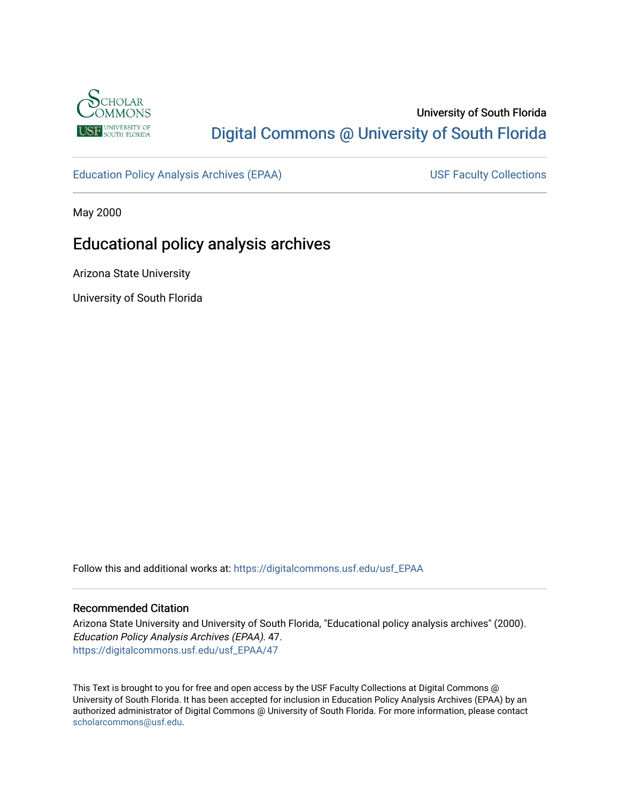

# University of South Florida [Digital Commons @ University of South Florida](https://digitalcommons.usf.edu/)

[Education Policy Analysis Archives \(EPAA\)](https://digitalcommons.usf.edu/usf_EPAA) USF Faculty Collections

May 2000

# Educational policy analysis archives

Arizona State University

University of South Florida

Follow this and additional works at: [https://digitalcommons.usf.edu/usf\\_EPAA](https://digitalcommons.usf.edu/usf_EPAA?utm_source=digitalcommons.usf.edu%2Fusf_EPAA%2F47&utm_medium=PDF&utm_campaign=PDFCoverPages)

#### Recommended Citation

Arizona State University and University of South Florida, "Educational policy analysis archives" (2000). Education Policy Analysis Archives (EPAA). 47. [https://digitalcommons.usf.edu/usf\\_EPAA/47](https://digitalcommons.usf.edu/usf_EPAA/47?utm_source=digitalcommons.usf.edu%2Fusf_EPAA%2F47&utm_medium=PDF&utm_campaign=PDFCoverPages) 

This Text is brought to you for free and open access by the USF Faculty Collections at Digital Commons @ University of South Florida. It has been accepted for inclusion in Education Policy Analysis Archives (EPAA) by an authorized administrator of Digital Commons @ University of South Florida. For more information, please contact [scholarcommons@usf.edu.](mailto:scholarcommons@usf.edu)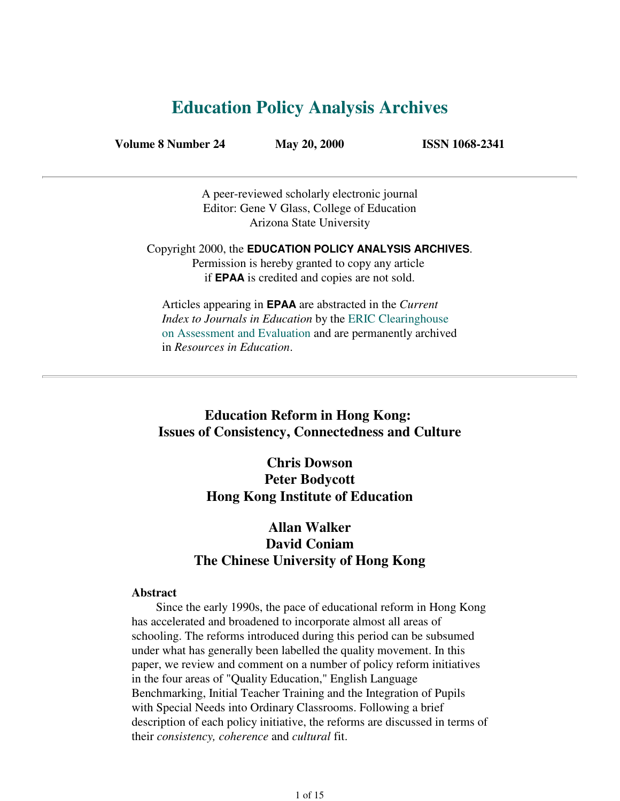# **Education Policy Analysis Archives**

**Volume 8 Number 24 May 20, 2000 ISSN 1068-2341**

A peer-reviewed scholarly electronic journal Editor: Gene V Glass, College of Education Arizona State University

Copyright 2000, the **EDUCATION POLICY ANALYSIS ARCHIVES**. Permission is hereby granted to copy any article if **EPAA** is credited and copies are not sold.

Articles appearing in **EPAA** are abstracted in the *Current Index to Journals in Education* by the ERIC Clearinghouse on Assessment and Evaluation and are permanently archived in *Resources in Education*.

**Education Reform in Hong Kong: Issues of Consistency, Connectedness and Culture** 

> **Chris Dowson Peter Bodycott Hong Kong Institute of Education**

## **Allan Walker David Coniam The Chinese University of Hong Kong**

#### **Abstract**

 Since the early 1990s, the pace of educational reform in Hong Kong has accelerated and broadened to incorporate almost all areas of schooling. The reforms introduced during this period can be subsumed under what has generally been labelled the quality movement. In this paper, we review and comment on a number of policy reform initiatives in the four areas of "Quality Education," English Language Benchmarking, Initial Teacher Training and the Integration of Pupils with Special Needs into Ordinary Classrooms. Following a brief description of each policy initiative, the reforms are discussed in terms of their *consistency, coherence* and *cultural* fit.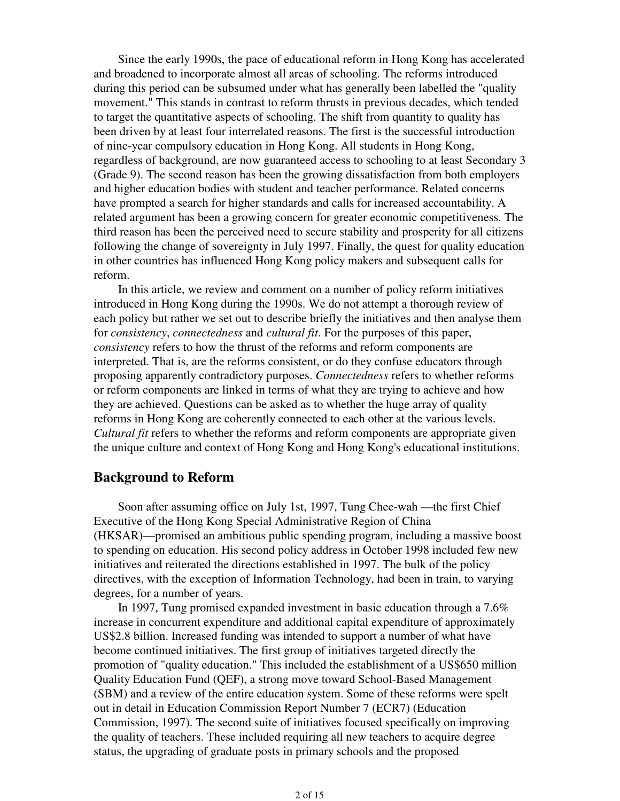Since the early 1990s, the pace of educational reform in Hong Kong has accelerated and broadened to incorporate almost all areas of schooling. The reforms introduced during this period can be subsumed under what has generally been labelled the "quality movement." This stands in contrast to reform thrusts in previous decades, which tended to target the quantitative aspects of schooling. The shift from quantity to quality has been driven by at least four interrelated reasons. The first is the successful introduction of nine-year compulsory education in Hong Kong. All students in Hong Kong, regardless of background, are now guaranteed access to schooling to at least Secondary 3 (Grade 9). The second reason has been the growing dissatisfaction from both employers and higher education bodies with student and teacher performance. Related concerns have prompted a search for higher standards and calls for increased accountability. A related argument has been a growing concern for greater economic competitiveness. The third reason has been the perceived need to secure stability and prosperity for all citizens following the change of sovereignty in July 1997. Finally, the quest for quality education in other countries has influenced Hong Kong policy makers and subsequent calls for reform.

 In this article, we review and comment on a number of policy reform initiatives introduced in Hong Kong during the 1990s. We do not attempt a thorough review of each policy but rather we set out to describe briefly the initiatives and then analyse them for *consistency*, *connectedness* and *cultural fit*. For the purposes of this paper, *consistency* refers to how the thrust of the reforms and reform components are interpreted. That is, are the reforms consistent, or do they confuse educators through proposing apparently contradictory purposes. *Connectedness* refers to whether reforms or reform components are linked in terms of what they are trying to achieve and how they are achieved. Questions can be asked as to whether the huge array of quality reforms in Hong Kong are coherently connected to each other at the various levels. *Cultural fit* refers to whether the reforms and reform components are appropriate given the unique culture and context of Hong Kong and Hong Kong's educational institutions.

### **Background to Reform**

 Soon after assuming office on July 1st, 1997, Tung Chee-wah —the first Chief Executive of the Hong Kong Special Administrative Region of China (HKSAR)—promised an ambitious public spending program, including a massive boost to spending on education. His second policy address in October 1998 included few new initiatives and reiterated the directions established in 1997. The bulk of the policy directives, with the exception of Information Technology, had been in train, to varying degrees, for a number of years.

 In 1997, Tung promised expanded investment in basic education through a 7.6% increase in concurrent expenditure and additional capital expenditure of approximately US\$2.8 billion. Increased funding was intended to support a number of what have become continued initiatives. The first group of initiatives targeted directly the promotion of "quality education." This included the establishment of a US\$650 million Quality Education Fund (QEF), a strong move toward School-Based Management (SBM) and a review of the entire education system. Some of these reforms were spelt out in detail in Education Commission Report Number 7 (ECR7) (Education Commission, 1997). The second suite of initiatives focused specifically on improving the quality of teachers. These included requiring all new teachers to acquire degree status, the upgrading of graduate posts in primary schools and the proposed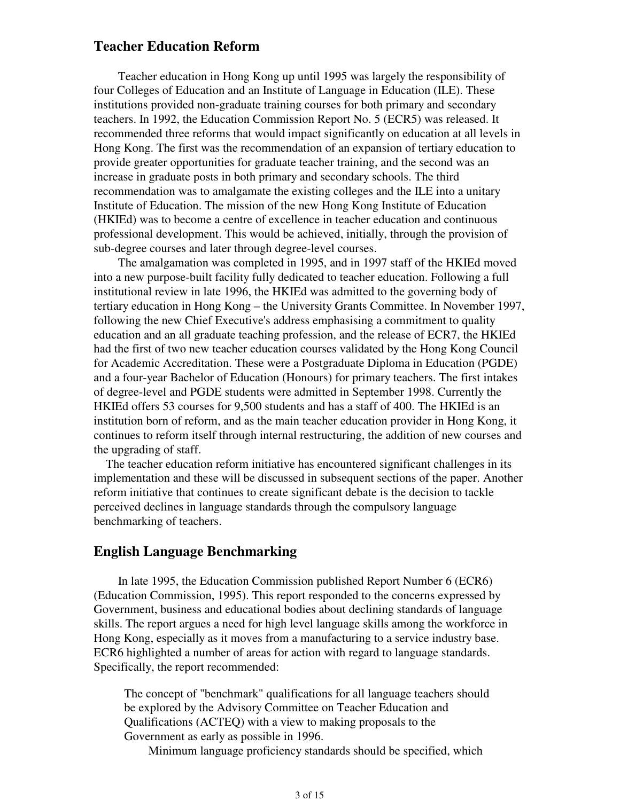## **Teacher Education Reform**

 Teacher education in Hong Kong up until 1995 was largely the responsibility of four Colleges of Education and an Institute of Language in Education (ILE). These institutions provided non-graduate training courses for both primary and secondary teachers. In 1992, the Education Commission Report No. 5 (ECR5) was released. It recommended three reforms that would impact significantly on education at all levels in Hong Kong. The first was the recommendation of an expansion of tertiary education to provide greater opportunities for graduate teacher training, and the second was an increase in graduate posts in both primary and secondary schools. The third recommendation was to amalgamate the existing colleges and the ILE into a unitary Institute of Education. The mission of the new Hong Kong Institute of Education (HKIEd) was to become a centre of excellence in teacher education and continuous professional development. This would be achieved, initially, through the provision of sub-degree courses and later through degree-level courses.

 The amalgamation was completed in 1995, and in 1997 staff of the HKIEd moved into a new purpose-built facility fully dedicated to teacher education. Following a full institutional review in late 1996, the HKIEd was admitted to the governing body of tertiary education in Hong Kong – the University Grants Committee. In November 1997, following the new Chief Executive's address emphasising a commitment to quality education and an all graduate teaching profession, and the release of ECR7, the HKIEd had the first of two new teacher education courses validated by the Hong Kong Council for Academic Accreditation. These were a Postgraduate Diploma in Education (PGDE) and a four-year Bachelor of Education (Honours) for primary teachers. The first intakes of degree-level and PGDE students were admitted in September 1998. Currently the HKIEd offers 53 courses for 9,500 students and has a staff of 400. The HKIEd is an institution born of reform, and as the main teacher education provider in Hong Kong, it continues to reform itself through internal restructuring, the addition of new courses and the upgrading of staff.

 The teacher education reform initiative has encountered significant challenges in its implementation and these will be discussed in subsequent sections of the paper. Another reform initiative that continues to create significant debate is the decision to tackle perceived declines in language standards through the compulsory language benchmarking of teachers.

## **English Language Benchmarking**

 In late 1995, the Education Commission published Report Number 6 (ECR6) (Education Commission, 1995). This report responded to the concerns expressed by Government, business and educational bodies about declining standards of language skills. The report argues a need for high level language skills among the workforce in Hong Kong, especially as it moves from a manufacturing to a service industry base. ECR6 highlighted a number of areas for action with regard to language standards. Specifically, the report recommended:

The concept of "benchmark" qualifications for all language teachers should be explored by the Advisory Committee on Teacher Education and Qualifications (ACTEQ) with a view to making proposals to the Government as early as possible in 1996.

Minimum language proficiency standards should be specified, which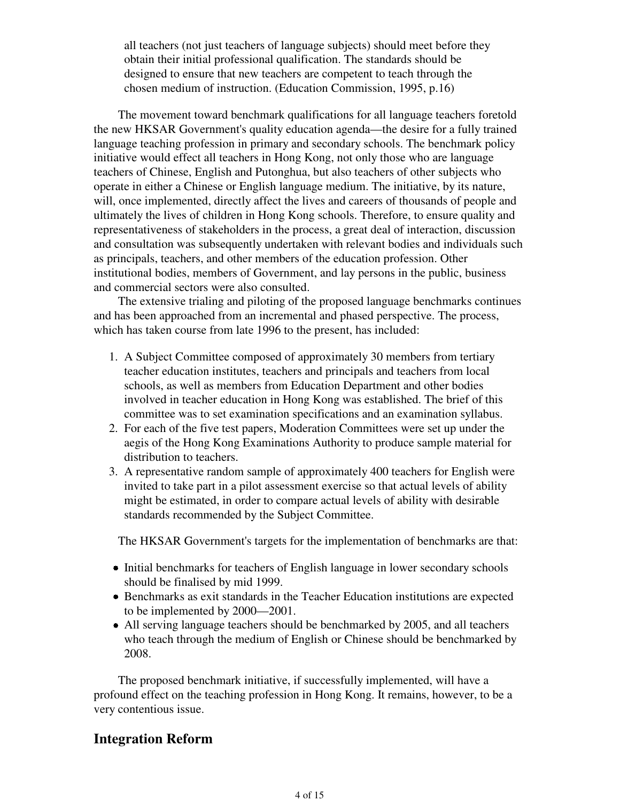all teachers (not just teachers of language subjects) should meet before they obtain their initial professional qualification. The standards should be designed to ensure that new teachers are competent to teach through the chosen medium of instruction. (Education Commission, 1995, p.16)

 The movement toward benchmark qualifications for all language teachers foretold the new HKSAR Government's quality education agenda—the desire for a fully trained language teaching profession in primary and secondary schools. The benchmark policy initiative would effect all teachers in Hong Kong, not only those who are language teachers of Chinese, English and Putonghua, but also teachers of other subjects who operate in either a Chinese or English language medium. The initiative, by its nature, will, once implemented, directly affect the lives and careers of thousands of people and ultimately the lives of children in Hong Kong schools. Therefore, to ensure quality and representativeness of stakeholders in the process, a great deal of interaction, discussion and consultation was subsequently undertaken with relevant bodies and individuals such as principals, teachers, and other members of the education profession. Other institutional bodies, members of Government, and lay persons in the public, business and commercial sectors were also consulted.

 The extensive trialing and piloting of the proposed language benchmarks continues and has been approached from an incremental and phased perspective. The process, which has taken course from late 1996 to the present, has included:

- A Subject Committee composed of approximately 30 members from tertiary 1. teacher education institutes, teachers and principals and teachers from local schools, as well as members from Education Department and other bodies involved in teacher education in Hong Kong was established. The brief of this committee was to set examination specifications and an examination syllabus.
- 2. For each of the five test papers, Moderation Committees were set up under the aegis of the Hong Kong Examinations Authority to produce sample material for distribution to teachers.
- A representative random sample of approximately 400 teachers for English were 3. invited to take part in a pilot assessment exercise so that actual levels of ability might be estimated, in order to compare actual levels of ability with desirable standards recommended by the Subject Committee.

The HKSAR Government's targets for the implementation of benchmarks are that:

- Initial benchmarks for teachers of English language in lower secondary schools should be finalised by mid 1999.
- Benchmarks as exit standards in the Teacher Education institutions are expected to be implemented by 2000—2001.
- All serving language teachers should be benchmarked by 2005, and all teachers who teach through the medium of English or Chinese should be benchmarked by 2008.

 The proposed benchmark initiative, if successfully implemented, will have a profound effect on the teaching profession in Hong Kong. It remains, however, to be a very contentious issue.

## **Integration Reform**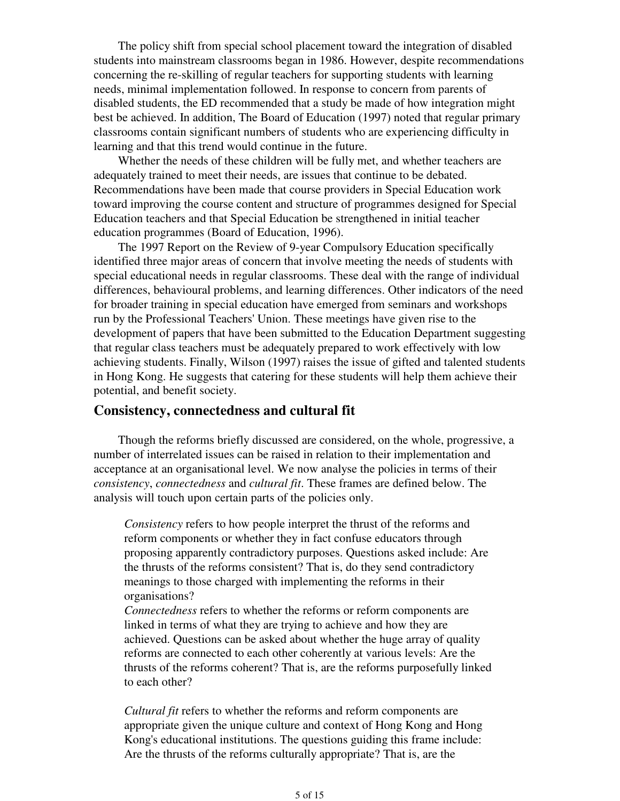The policy shift from special school placement toward the integration of disabled students into mainstream classrooms began in 1986. However, despite recommendations concerning the re-skilling of regular teachers for supporting students with learning needs, minimal implementation followed. In response to concern from parents of disabled students, the ED recommended that a study be made of how integration might best be achieved. In addition, The Board of Education (1997) noted that regular primary classrooms contain significant numbers of students who are experiencing difficulty in learning and that this trend would continue in the future.

 Whether the needs of these children will be fully met, and whether teachers are adequately trained to meet their needs, are issues that continue to be debated. Recommendations have been made that course providers in Special Education work toward improving the course content and structure of programmes designed for Special Education teachers and that Special Education be strengthened in initial teacher education programmes (Board of Education, 1996).

 The 1997 Report on the Review of 9-year Compulsory Education specifically identified three major areas of concern that involve meeting the needs of students with special educational needs in regular classrooms. These deal with the range of individual differences, behavioural problems, and learning differences. Other indicators of the need for broader training in special education have emerged from seminars and workshops run by the Professional Teachers' Union. These meetings have given rise to the development of papers that have been submitted to the Education Department suggesting that regular class teachers must be adequately prepared to work effectively with low achieving students. Finally, Wilson (1997) raises the issue of gifted and talented students in Hong Kong. He suggests that catering for these students will help them achieve their potential, and benefit society.

#### **Consistency, connectedness and cultural fit**

 Though the reforms briefly discussed are considered, on the whole, progressive, a number of interrelated issues can be raised in relation to their implementation and acceptance at an organisational level. We now analyse the policies in terms of their *consistency*, *connectedness* and *cultural fit*. These frames are defined below. The analysis will touch upon certain parts of the policies only.

*Consistency* refers to how people interpret the thrust of the reforms and reform components or whether they in fact confuse educators through proposing apparently contradictory purposes. Questions asked include: Are the thrusts of the reforms consistent? That is, do they send contradictory meanings to those charged with implementing the reforms in their organisations?

*Connectedness* refers to whether the reforms or reform components are linked in terms of what they are trying to achieve and how they are achieved. Questions can be asked about whether the huge array of quality reforms are connected to each other coherently at various levels: Are the thrusts of the reforms coherent? That is, are the reforms purposefully linked to each other?

*Cultural fit* refers to whether the reforms and reform components are appropriate given the unique culture and context of Hong Kong and Hong Kong's educational institutions. The questions guiding this frame include: Are the thrusts of the reforms culturally appropriate? That is, are the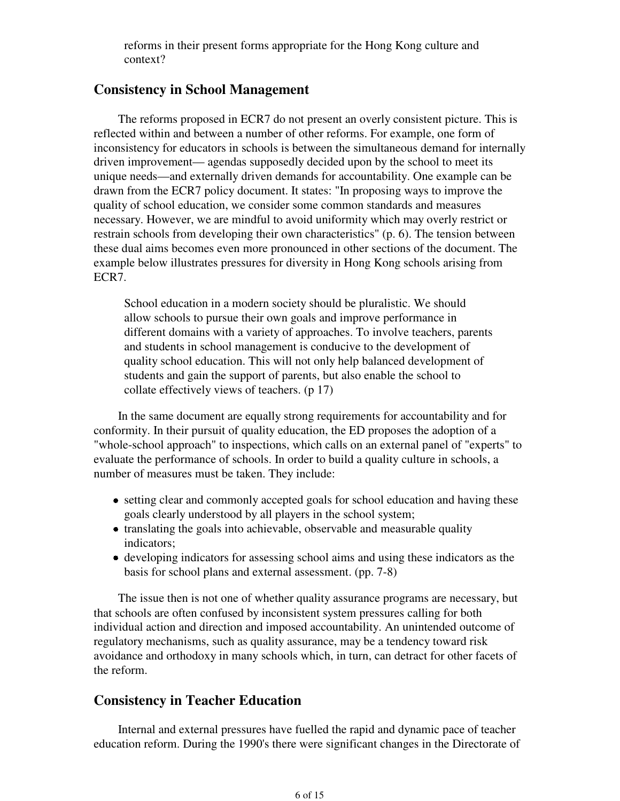reforms in their present forms appropriate for the Hong Kong culture and context?

### **Consistency in School Management**

 The reforms proposed in ECR7 do not present an overly consistent picture. This is reflected within and between a number of other reforms. For example, one form of inconsistency for educators in schools is between the simultaneous demand for internally driven improvement— agendas supposedly decided upon by the school to meet its unique needs—and externally driven demands for accountability. One example can be drawn from the ECR7 policy document. It states: "In proposing ways to improve the quality of school education, we consider some common standards and measures necessary. However, we are mindful to avoid uniformity which may overly restrict or restrain schools from developing their own characteristics" (p. 6). The tension between these dual aims becomes even more pronounced in other sections of the document. The example below illustrates pressures for diversity in Hong Kong schools arising from ECR7.

School education in a modern society should be pluralistic. We should allow schools to pursue their own goals and improve performance in different domains with a variety of approaches. To involve teachers, parents and students in school management is conducive to the development of quality school education. This will not only help balanced development of students and gain the support of parents, but also enable the school to collate effectively views of teachers. (p 17)

 In the same document are equally strong requirements for accountability and for conformity. In their pursuit of quality education, the ED proposes the adoption of a "whole-school approach" to inspections, which calls on an external panel of "experts" to evaluate the performance of schools. In order to build a quality culture in schools, a number of measures must be taken. They include:

- setting clear and commonly accepted goals for school education and having these goals clearly understood by all players in the school system;
- translating the goals into achievable, observable and measurable quality indicators;
- developing indicators for assessing school aims and using these indicators as the basis for school plans and external assessment. (pp. 7-8)

 The issue then is not one of whether quality assurance programs are necessary, but that schools are often confused by inconsistent system pressures calling for both individual action and direction and imposed accountability. An unintended outcome of regulatory mechanisms, such as quality assurance, may be a tendency toward risk avoidance and orthodoxy in many schools which, in turn, can detract for other facets of the reform.

## **Consistency in Teacher Education**

 Internal and external pressures have fuelled the rapid and dynamic pace of teacher education reform. During the 1990's there were significant changes in the Directorate of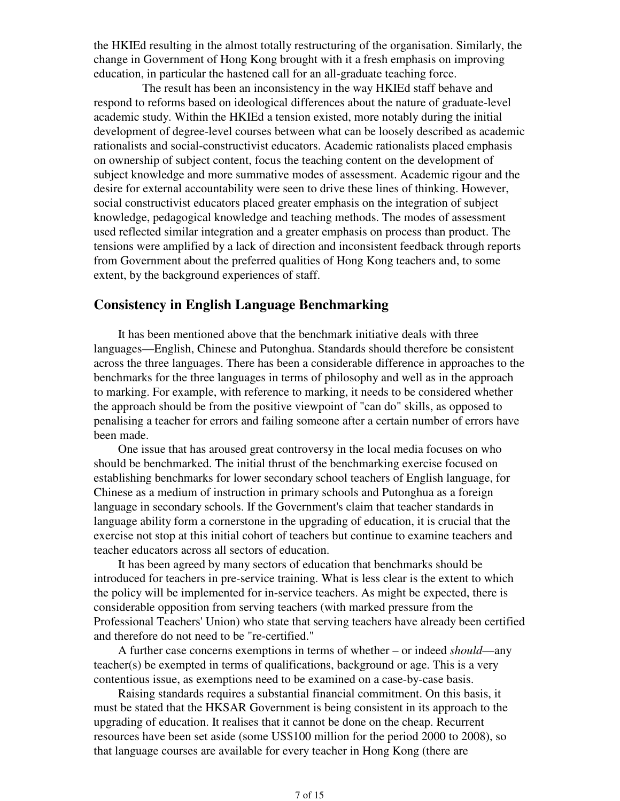the HKIEd resulting in the almost totally restructuring of the organisation. Similarly, the change in Government of Hong Kong brought with it a fresh emphasis on improving education, in particular the hastened call for an all-graduate teaching force.

 The result has been an inconsistency in the way HKIEd staff behave and respond to reforms based on ideological differences about the nature of graduate-level academic study. Within the HKIEd a tension existed, more notably during the initial development of degree-level courses between what can be loosely described as academic rationalists and social-constructivist educators. Academic rationalists placed emphasis on ownership of subject content, focus the teaching content on the development of subject knowledge and more summative modes of assessment. Academic rigour and the desire for external accountability were seen to drive these lines of thinking. However, social constructivist educators placed greater emphasis on the integration of subject knowledge, pedagogical knowledge and teaching methods. The modes of assessment used reflected similar integration and a greater emphasis on process than product. The tensions were amplified by a lack of direction and inconsistent feedback through reports from Government about the preferred qualities of Hong Kong teachers and, to some extent, by the background experiences of staff.

### **Consistency in English Language Benchmarking**

 It has been mentioned above that the benchmark initiative deals with three languages—English, Chinese and Putonghua. Standards should therefore be consistent across the three languages. There has been a considerable difference in approaches to the benchmarks for the three languages in terms of philosophy and well as in the approach to marking. For example, with reference to marking, it needs to be considered whether the approach should be from the positive viewpoint of "can do" skills, as opposed to penalising a teacher for errors and failing someone after a certain number of errors have been made.

 One issue that has aroused great controversy in the local media focuses on who should be benchmarked. The initial thrust of the benchmarking exercise focused on establishing benchmarks for lower secondary school teachers of English language, for Chinese as a medium of instruction in primary schools and Putonghua as a foreign language in secondary schools. If the Government's claim that teacher standards in language ability form a cornerstone in the upgrading of education, it is crucial that the exercise not stop at this initial cohort of teachers but continue to examine teachers and teacher educators across all sectors of education.

 It has been agreed by many sectors of education that benchmarks should be introduced for teachers in pre-service training. What is less clear is the extent to which the policy will be implemented for in-service teachers. As might be expected, there is considerable opposition from serving teachers (with marked pressure from the Professional Teachers' Union) who state that serving teachers have already been certified and therefore do not need to be "re-certified."

 A further case concerns exemptions in terms of whether – or indeed *should*—any teacher(s) be exempted in terms of qualifications, background or age. This is a very contentious issue, as exemptions need to be examined on a case-by-case basis.

 Raising standards requires a substantial financial commitment. On this basis, it must be stated that the HKSAR Government is being consistent in its approach to the upgrading of education. It realises that it cannot be done on the cheap. Recurrent resources have been set aside (some US\$100 million for the period 2000 to 2008), so that language courses are available for every teacher in Hong Kong (there are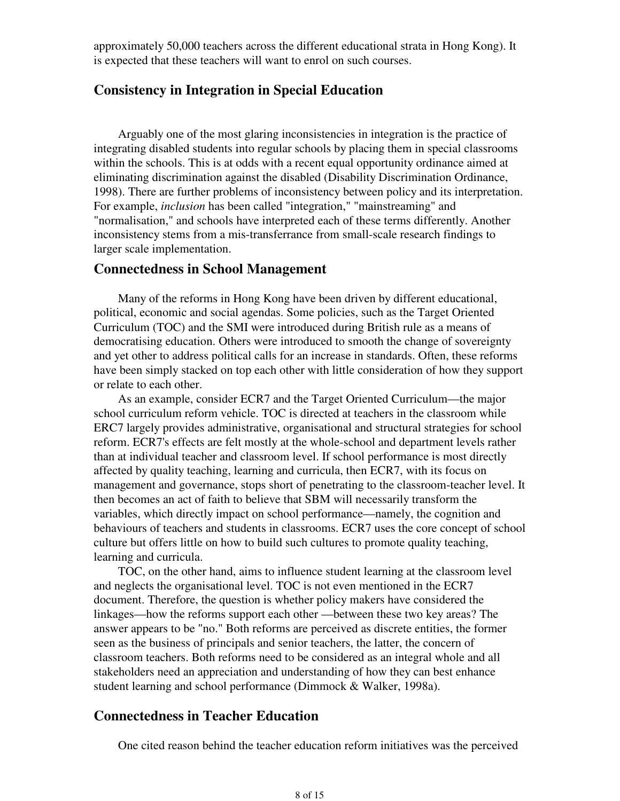approximately 50,000 teachers across the different educational strata in Hong Kong). It is expected that these teachers will want to enrol on such courses.

## **Consistency in Integration in Special Education**

 Arguably one of the most glaring inconsistencies in integration is the practice of integrating disabled students into regular schools by placing them in special classrooms within the schools. This is at odds with a recent equal opportunity ordinance aimed at eliminating discrimination against the disabled (Disability Discrimination Ordinance, 1998). There are further problems of inconsistency between policy and its interpretation. For example, *inclusion* has been called "integration," "mainstreaming" and "normalisation," and schools have interpreted each of these terms differently. Another inconsistency stems from a mis-transferrance from small-scale research findings to larger scale implementation.

### **Connectedness in School Management**

 Many of the reforms in Hong Kong have been driven by different educational, political, economic and social agendas. Some policies, such as the Target Oriented Curriculum (TOC) and the SMI were introduced during British rule as a means of democratising education. Others were introduced to smooth the change of sovereignty and yet other to address political calls for an increase in standards. Often, these reforms have been simply stacked on top each other with little consideration of how they support or relate to each other.

 As an example, consider ECR7 and the Target Oriented Curriculum—the major school curriculum reform vehicle. TOC is directed at teachers in the classroom while ERC7 largely provides administrative, organisational and structural strategies for school reform. ECR7's effects are felt mostly at the whole-school and department levels rather than at individual teacher and classroom level. If school performance is most directly affected by quality teaching, learning and curricula, then ECR7, with its focus on management and governance, stops short of penetrating to the classroom-teacher level. It then becomes an act of faith to believe that SBM will necessarily transform the variables, which directly impact on school performance—namely, the cognition and behaviours of teachers and students in classrooms. ECR7 uses the core concept of school culture but offers little on how to build such cultures to promote quality teaching, learning and curricula.

 TOC, on the other hand, aims to influence student learning at the classroom level and neglects the organisational level. TOC is not even mentioned in the ECR7 document. Therefore, the question is whether policy makers have considered the linkages—how the reforms support each other —between these two key areas? The answer appears to be "no." Both reforms are perceived as discrete entities, the former seen as the business of principals and senior teachers, the latter, the concern of classroom teachers. Both reforms need to be considered as an integral whole and all stakeholders need an appreciation and understanding of how they can best enhance student learning and school performance (Dimmock & Walker, 1998a).

### **Connectedness in Teacher Education**

One cited reason behind the teacher education reform initiatives was the perceived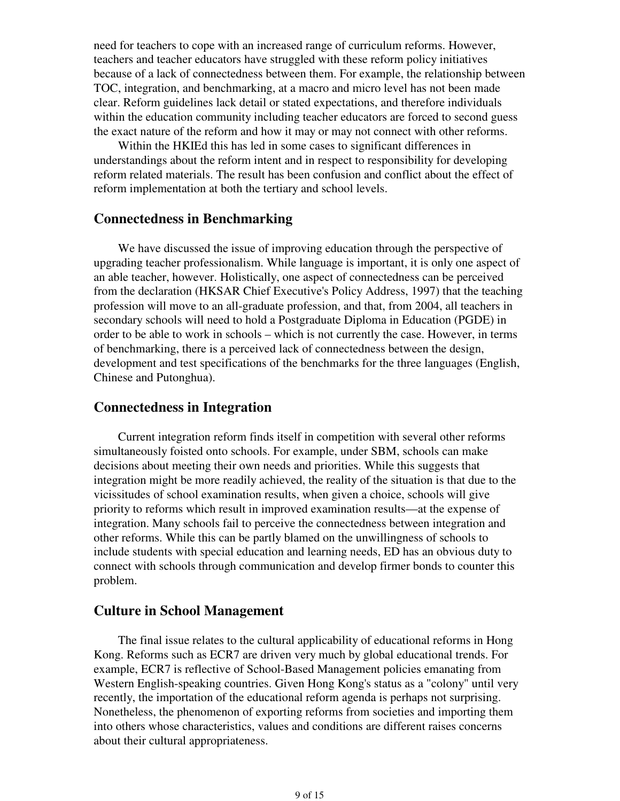need for teachers to cope with an increased range of curriculum reforms. However, teachers and teacher educators have struggled with these reform policy initiatives because of a lack of connectedness between them. For example, the relationship between TOC, integration, and benchmarking, at a macro and micro level has not been made clear. Reform guidelines lack detail or stated expectations, and therefore individuals within the education community including teacher educators are forced to second guess the exact nature of the reform and how it may or may not connect with other reforms.

 Within the HKIEd this has led in some cases to significant differences in understandings about the reform intent and in respect to responsibility for developing reform related materials. The result has been confusion and conflict about the effect of reform implementation at both the tertiary and school levels.

#### **Connectedness in Benchmarking**

 We have discussed the issue of improving education through the perspective of upgrading teacher professionalism. While language is important, it is only one aspect of an able teacher, however. Holistically, one aspect of connectedness can be perceived from the declaration (HKSAR Chief Executive's Policy Address, 1997) that the teaching profession will move to an all-graduate profession, and that, from 2004, all teachers in secondary schools will need to hold a Postgraduate Diploma in Education (PGDE) in order to be able to work in schools – which is not currently the case. However, in terms of benchmarking, there is a perceived lack of connectedness between the design, development and test specifications of the benchmarks for the three languages (English, Chinese and Putonghua).

#### **Connectedness in Integration**

 Current integration reform finds itself in competition with several other reforms simultaneously foisted onto schools. For example, under SBM, schools can make decisions about meeting their own needs and priorities. While this suggests that integration might be more readily achieved, the reality of the situation is that due to the vicissitudes of school examination results, when given a choice, schools will give priority to reforms which result in improved examination results—at the expense of integration. Many schools fail to perceive the connectedness between integration and other reforms. While this can be partly blamed on the unwillingness of schools to include students with special education and learning needs, ED has an obvious duty to connect with schools through communication and develop firmer bonds to counter this problem.

#### **Culture in School Management**

 The final issue relates to the cultural applicability of educational reforms in Hong Kong. Reforms such as ECR7 are driven very much by global educational trends. For example, ECR7 is reflective of School-Based Management policies emanating from Western English-speaking countries. Given Hong Kong's status as a "colony" until very recently, the importation of the educational reform agenda is perhaps not surprising. Nonetheless, the phenomenon of exporting reforms from societies and importing them into others whose characteristics, values and conditions are different raises concerns about their cultural appropriateness.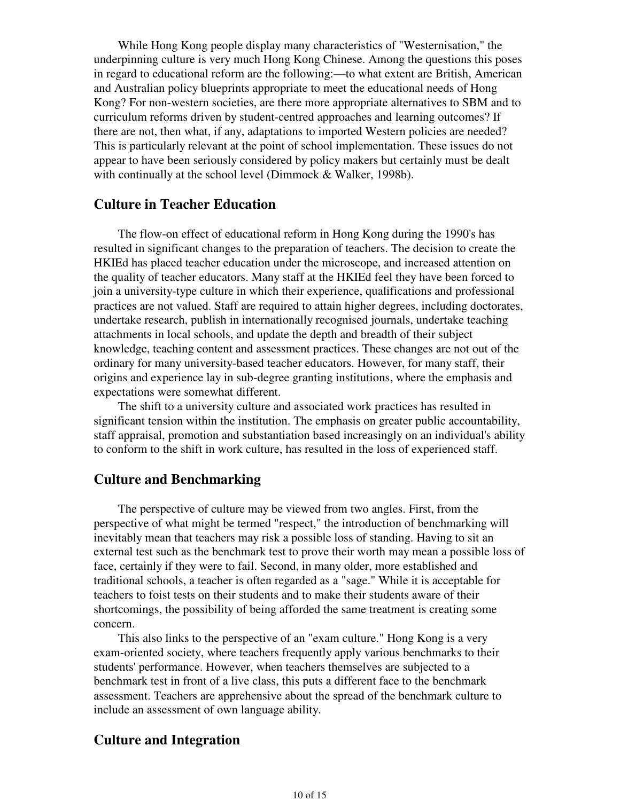While Hong Kong people display many characteristics of "Westernisation," the underpinning culture is very much Hong Kong Chinese. Among the questions this poses in regard to educational reform are the following:—to what extent are British, American and Australian policy blueprints appropriate to meet the educational needs of Hong Kong? For non-western societies, are there more appropriate alternatives to SBM and to curriculum reforms driven by student-centred approaches and learning outcomes? If there are not, then what, if any, adaptations to imported Western policies are needed? This is particularly relevant at the point of school implementation. These issues do not appear to have been seriously considered by policy makers but certainly must be dealt with continually at the school level (Dimmock & Walker, 1998b).

#### **Culture in Teacher Education**

 The flow-on effect of educational reform in Hong Kong during the 1990's has resulted in significant changes to the preparation of teachers. The decision to create the HKIEd has placed teacher education under the microscope, and increased attention on the quality of teacher educators. Many staff at the HKIEd feel they have been forced to join a university-type culture in which their experience, qualifications and professional practices are not valued. Staff are required to attain higher degrees, including doctorates, undertake research, publish in internationally recognised journals, undertake teaching attachments in local schools, and update the depth and breadth of their subject knowledge, teaching content and assessment practices. These changes are not out of the ordinary for many university-based teacher educators. However, for many staff, their origins and experience lay in sub-degree granting institutions, where the emphasis and expectations were somewhat different.

 The shift to a university culture and associated work practices has resulted in significant tension within the institution. The emphasis on greater public accountability, staff appraisal, promotion and substantiation based increasingly on an individual's ability to conform to the shift in work culture, has resulted in the loss of experienced staff.

## **Culture and Benchmarking**

 The perspective of culture may be viewed from two angles. First, from the perspective of what might be termed "respect," the introduction of benchmarking will inevitably mean that teachers may risk a possible loss of standing. Having to sit an external test such as the benchmark test to prove their worth may mean a possible loss of face, certainly if they were to fail. Second, in many older, more established and traditional schools, a teacher is often regarded as a "sage." While it is acceptable for teachers to foist tests on their students and to make their students aware of their shortcomings, the possibility of being afforded the same treatment is creating some concern.

 This also links to the perspective of an "exam culture." Hong Kong is a very exam-oriented society, where teachers frequently apply various benchmarks to their students' performance. However, when teachers themselves are subjected to a benchmark test in front of a live class, this puts a different face to the benchmark assessment. Teachers are apprehensive about the spread of the benchmark culture to include an assessment of own language ability.

### **Culture and Integration**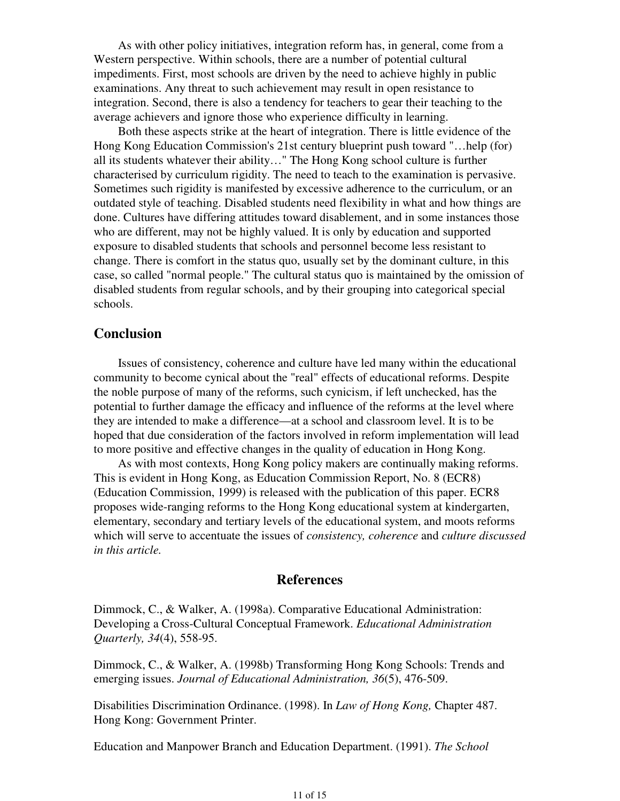As with other policy initiatives, integration reform has, in general, come from a Western perspective. Within schools, there are a number of potential cultural impediments. First, most schools are driven by the need to achieve highly in public examinations. Any threat to such achievement may result in open resistance to integration. Second, there is also a tendency for teachers to gear their teaching to the average achievers and ignore those who experience difficulty in learning.

 Both these aspects strike at the heart of integration. There is little evidence of the Hong Kong Education Commission's 21st century blueprint push toward "…help (for) all its students whatever their ability…" The Hong Kong school culture is further characterised by curriculum rigidity. The need to teach to the examination is pervasive. Sometimes such rigidity is manifested by excessive adherence to the curriculum, or an outdated style of teaching. Disabled students need flexibility in what and how things are done. Cultures have differing attitudes toward disablement, and in some instances those who are different, may not be highly valued. It is only by education and supported exposure to disabled students that schools and personnel become less resistant to change. There is comfort in the status quo, usually set by the dominant culture, in this case, so called "normal people." The cultural status quo is maintained by the omission of disabled students from regular schools, and by their grouping into categorical special schools.

## **Conclusion**

 Issues of consistency, coherence and culture have led many within the educational community to become cynical about the "real" effects of educational reforms. Despite the noble purpose of many of the reforms, such cynicism, if left unchecked, has the potential to further damage the efficacy and influence of the reforms at the level where they are intended to make a difference—at a school and classroom level. It is to be hoped that due consideration of the factors involved in reform implementation will lead to more positive and effective changes in the quality of education in Hong Kong.

 As with most contexts, Hong Kong policy makers are continually making reforms. This is evident in Hong Kong, as Education Commission Report, No. 8 (ECR8) (Education Commission, 1999) is released with the publication of this paper. ECR8 proposes wide-ranging reforms to the Hong Kong educational system at kindergarten, elementary, secondary and tertiary levels of the educational system, and moots reforms which will serve to accentuate the issues of *consistency, coherence* and *culture discussed in this article.*

## **References**

Dimmock, C., & Walker, A. (1998a). Comparative Educational Administration: Developing a Cross-Cultural Conceptual Framework. *Educational Administration Quarterly, 34*(4), 558-95.

Dimmock, C., & Walker, A. (1998b) Transforming Hong Kong Schools: Trends and emerging issues. *Journal of Educational Administration, 36*(5), 476-509.

Disabilities Discrimination Ordinance. (1998). In *Law of Hong Kong,* Chapter 487. Hong Kong: Government Printer.

Education and Manpower Branch and Education Department. (1991). *The School*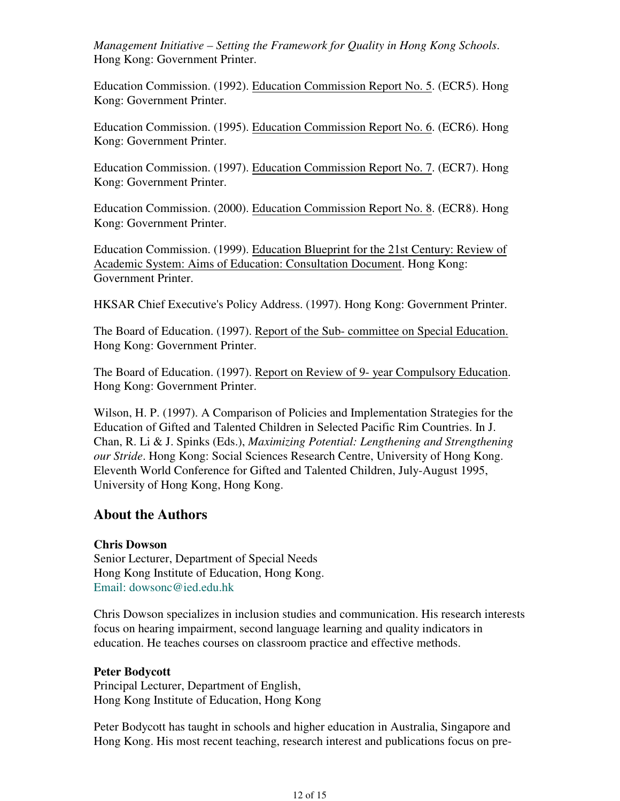*Management Initiative – Setting the Framework for Quality in Hong Kong Schools*. Hong Kong: Government Printer.

Education Commission. (1992). Education Commission Report No. 5. (ECR5). Hong Kong: Government Printer.

Education Commission. (1995). Education Commission Report No. 6. (ECR6). Hong Kong: Government Printer.

Education Commission. (1997). Education Commission Report No. 7. (ECR7). Hong Kong: Government Printer.

Education Commission. (2000). Education Commission Report No. 8. (ECR8). Hong Kong: Government Printer.

Education Commission. (1999). Education Blueprint for the 21st Century: Review of Academic System: Aims of Education: Consultation Document. Hong Kong: Government Printer.

HKSAR Chief Executive's Policy Address. (1997). Hong Kong: Government Printer.

The Board of Education. (1997). Report of the Sub- committee on Special Education. Hong Kong: Government Printer.

The Board of Education. (1997). Report on Review of 9- year Compulsory Education. Hong Kong: Government Printer.

Wilson, H. P. (1997). A Comparison of Policies and Implementation Strategies for the Education of Gifted and Talented Children in Selected Pacific Rim Countries. In J. Chan, R. Li & J. Spinks (Eds.), *Maximizing Potential: Lengthening and Strengthening our Stride*. Hong Kong: Social Sciences Research Centre, University of Hong Kong. Eleventh World Conference for Gifted and Talented Children, July-August 1995, University of Hong Kong, Hong Kong.

## **About the Authors**

#### **Chris Dowson**

Senior Lecturer, Department of Special Needs Hong Kong Institute of Education, Hong Kong. Email: dowsonc@ied.edu.hk

Chris Dowson specializes in inclusion studies and communication. His research interests focus on hearing impairment, second language learning and quality indicators in education. He teaches courses on classroom practice and effective methods.

#### **Peter Bodycott**

Principal Lecturer, Department of English, Hong Kong Institute of Education, Hong Kong

Peter Bodycott has taught in schools and higher education in Australia, Singapore and Hong Kong. His most recent teaching, research interest and publications focus on pre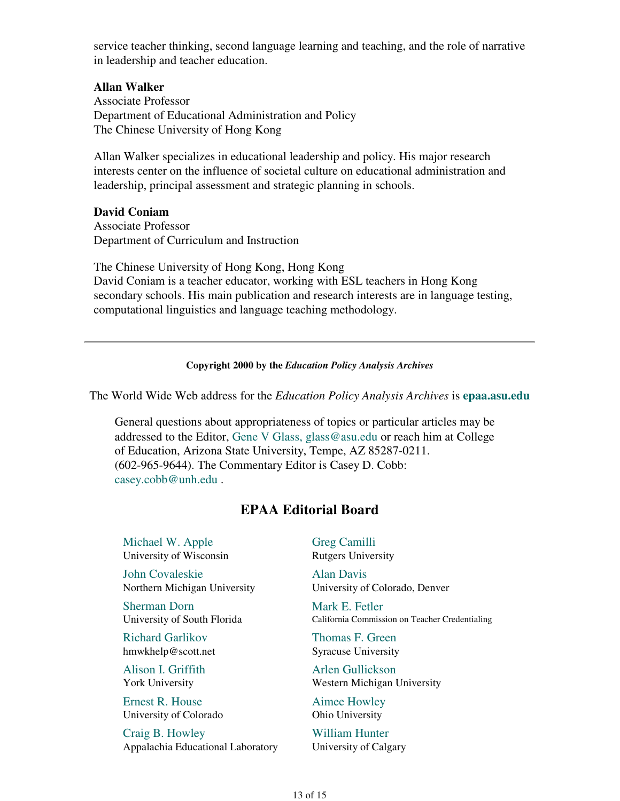service teacher thinking, second language learning and teaching, and the role of narrative in leadership and teacher education.

#### **Allan Walker**

Associate Professor Department of Educational Administration and Policy The Chinese University of Hong Kong

Allan Walker specializes in educational leadership and policy. His major research interests center on the influence of societal culture on educational administration and leadership, principal assessment and strategic planning in schools.

#### **David Coniam**

Associate Professor Department of Curriculum and Instruction

The Chinese University of Hong Kong, Hong Kong David Coniam is a teacher educator, working with ESL teachers in Hong Kong secondary schools. His main publication and research interests are in language testing, computational linguistics and language teaching methodology.

#### **Copyright 2000 by the** *Education Policy Analysis Archives*

The World Wide Web address for the *Education Policy Analysis Archives* is **epaa.asu.edu**

General questions about appropriateness of topics or particular articles may be addressed to the Editor, Gene V Glass, glass@asu.edu or reach him at College of Education, Arizona State University, Tempe, AZ 85287-0211. (602-965-9644). The Commentary Editor is Casey D. Cobb: casey.cobb@unh.edu .

## **EPAA Editorial Board**

Michael W. Apple University of Wisconsin

John Covaleskie Northern Michigan University

Sherman Dorn University of South Florida

Richard Garlikov hmwkhelp@scott.net

Alison I. Griffith York University

Ernest R. House University of Colorado

Craig B. Howley Appalachia Educational Laboratory Greg Camilli Rutgers University

Alan Davis University of Colorado, Denver

Mark E. Fetler California Commission on Teacher Credentialing

Thomas F. Green Syracuse University

Arlen Gullickson Western Michigan University

Aimee Howley Ohio University

William Hunter University of Calgary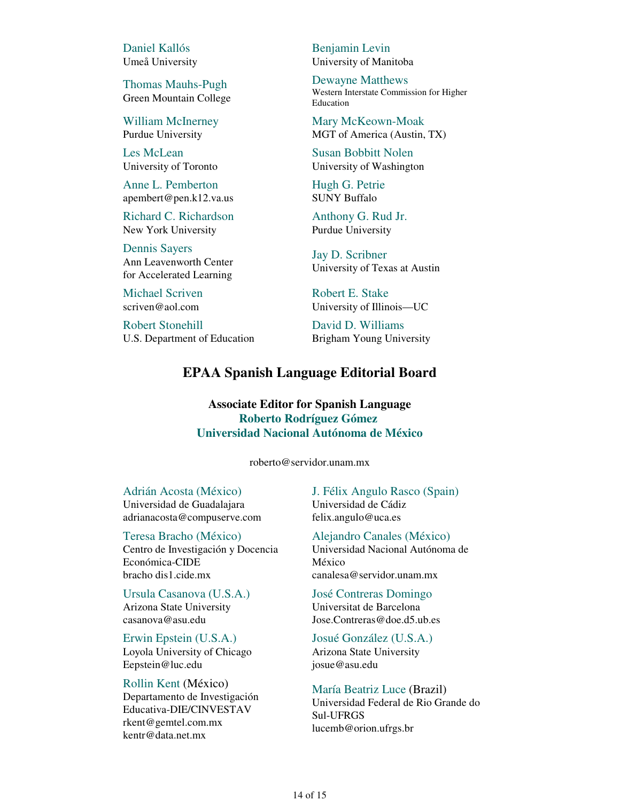Daniel Kallós Umeå University

Thomas Mauhs-Pugh Green Mountain College

William McInerney Purdue University

Les McLean University of Toronto

Anne L. Pemberton apembert@pen.k12.va.us

Richard C. Richardson New York University

Dennis Sayers Ann Leavenworth Center for Accelerated Learning

Michael Scriven scriven@aol.com

Robert Stonehill U.S. Department of Education Benjamin Levin University of Manitoba

Dewayne Matthews Western Interstate Commission for Higher Education

Mary McKeown-Moak MGT of America (Austin, TX)

Susan Bobbitt Nolen University of Washington

Hugh G. Petrie SUNY Buffalo

Anthony G. Rud Jr. Purdue University

Jay D. Scribner University of Texas at Austin

Robert E. Stake University of Illinois—UC

David D. Williams Brigham Young University

## **EPAA Spanish Language Editorial Board**

**Associate Editor for Spanish Language Roberto Rodríguez Gómez Universidad Nacional Autónoma de México**

roberto@servidor.unam.mx

Adrián Acosta (México) Universidad de Guadalajara adrianacosta@compuserve.com

Teresa Bracho (México) Centro de Investigación y Docencia Económica-CIDE bracho dis1.cide.mx

Ursula Casanova (U.S.A.) Arizona State University casanova@asu.edu

Erwin Epstein (U.S.A.) Loyola University of Chicago Eepstein@luc.edu

Rollin Kent (México) Departamento de Investigación Educativa-DIE/CINVESTAV rkent@gemtel.com.mx kentr@data.net.mx

J. Félix Angulo Rasco (Spain) Universidad de Cádiz felix.angulo@uca.es

Alejandro Canales (México) Universidad Nacional Autónoma de México canalesa@servidor.unam.mx

José Contreras Domingo Universitat de Barcelona Jose.Contreras@doe.d5.ub.es

Josué González (U.S.A.) Arizona State University josue@asu.edu

María Beatriz Luce (Brazil) Universidad Federal de Rio Grande do Sul-UFRGS lucemb@orion.ufrgs.br